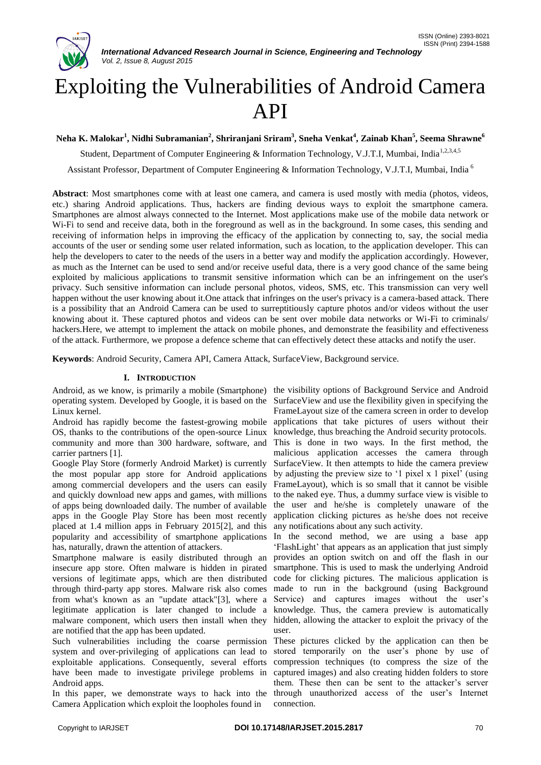

# Exploiting the Vulnerabilities of Android Camera API

**Neha K. Malokar<sup>1</sup> , Nidhi Subramanian<sup>2</sup> , Shriranjani Sriram<sup>3</sup> , Sneha Venkat<sup>4</sup> , Zainab Khan<sup>5</sup> , Seema Shrawne<sup>6</sup>**

Student, Department of Computer Engineering & Information Technology, V.J.T.I. Mumbai. India<sup>1,2,3,4,5</sup>

Assistant Professor, Department of Computer Engineering & Information Technology, V.J.T.I, Mumbai, India <sup>6</sup>

**Abstract**: Most smartphones come with at least one camera, and camera is used mostly with media (photos, videos, etc.) sharing Android applications. Thus, hackers are finding devious ways to exploit the smartphone camera. Smartphones are almost always connected to the Internet. Most applications make use of the mobile data network or Wi-Fi to send and receive data, both in the foreground as well as in the background. In some cases, this sending and receiving of information helps in improving the efficacy of the application by connecting to, say, the social media accounts of the user or sending some user related information, such as location, to the application developer. This can help the developers to cater to the needs of the users in a better way and modify the application accordingly. However, as much as the Internet can be used to send and/or receive useful data, there is a very good chance of the same being exploited by malicious applications to transmit sensitive information which can be an infringement on the user's privacy. Such sensitive information can include personal photos, videos, SMS, etc. This transmission can very well happen without the user knowing about it.One attack that infringes on the user's privacy is a camera-based attack. There is a possibility that an Android Camera can be used to surreptitiously capture photos and/or videos without the user knowing about it. These captured photos and videos can be sent over mobile data networks or Wi-Fi to criminals/ hackers.Here, we attempt to implement the attack on mobile phones, and demonstrate the feasibility and effectiveness of the attack. Furthermore, we propose a defence scheme that can effectively detect these attacks and notify the user.

**Keywords**: Android Security, Camera API, Camera Attack, SurfaceView, Background service.

#### **I. INTRODUCTION**

Android, as we know, is primarily a mobile (Smartphone) the visibility options of Background Service and Android operating system. Developed by Google, it is based on the Linux kernel.

Android has rapidly become the fastest-growing mobile applications that take pictures of users without their OS, thanks to the contributions of the open-source Linux community and more than 300 hardware, software, and carrier partners [1].

Google Play Store (formerly Android Market) is currently the most popular app store for Android applications among commercial developers and the users can easily and quickly download new apps and games, with millions of apps being downloaded daily. The number of available apps in the Google Play Store has been most recently placed at 1.4 million apps in February 2015[2], and this popularity and accessibility of smartphone applications has, naturally, drawn the attention of attackers.

Smartphone malware is easily distributed through an insecure app store. Often malware is hidden in pirated versions of legitimate apps, which are then distributed through third-party app stores. Malware risk also comes from what's known as an "update attack"[3], where a legitimate application is later changed to include a malware component, which users then install when they are notified that the app has been updated.

Such vulnerabilities including the coarse permission system and over-privileging of applications can lead to exploitable applications. Consequently, several efforts have been made to investigate privilege problems in Android apps.

In this paper, we demonstrate ways to hack into the Camera Application which exploit the loopholes found in

SurfaceView and use the flexibility given in specifying the FrameLayout size of the camera screen in order to develop knowledge, thus breaching the Android security protocols. This is done in two ways. In the first method, the malicious application accesses the camera through SurfaceView. It then attempts to hide the camera preview by adjusting the preview size to '1 pixel x 1 pixel' (using FrameLayout), which is so small that it cannot be visible to the naked eye. Thus, a dummy surface view is visible to the user and he/she is completely unaware of the application clicking pictures as he/she does not receive any notifications about any such activity.

In the second method, we are using a base app 'FlashLight' that appears as an application that just simply provides an option switch on and off the flash in our smartphone. This is used to mask the underlying Android code for clicking pictures. The malicious application is made to run in the background (using Background Service) and captures images without the user's knowledge. Thus, the camera preview is automatically hidden, allowing the attacker to exploit the privacy of the user.

These pictures clicked by the application can then be stored temporarily on the user's phone by use of compression techniques (to compress the size of the captured images) and also creating hidden folders to store them. These then can be sent to the attacker's server through unauthorized access of the user's Internet connection.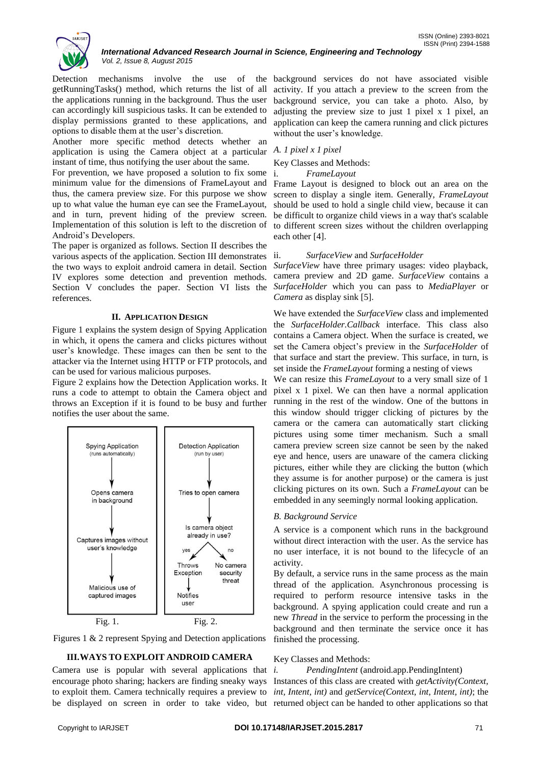

Detection mechanisms involve the use of the getRunningTasks() method, which returns the list of all the applications running in the background. Thus the user can accordingly kill suspicious tasks. It can be extended to display permissions granted to these applications, and options to disable them at the user's discretion.

Another more specific method detects whether an application is using the Camera object at a particular instant of time, thus notifying the user about the same.

For prevention, we have proposed a solution to fix some minimum value for the dimensions of FrameLayout and thus, the camera preview size. For this purpose we show up to what value the human eye can see the FrameLayout, and in turn, prevent hiding of the preview screen. Implementation of this solution is left to the discretion of Android's Developers.

The paper is organized as follows. Section II describes the various aspects of the application. Section III demonstrates the two ways to exploit android camera in detail. Section IV explores some detection and prevention methods. Section V concludes the paper. Section VI lists the references.

# **II. APPLICATION DESIGN**

Figure 1 explains the system design of Spying Application in which, it opens the camera and clicks pictures without user's knowledge. These images can then be sent to the attacker via the Internet using HTTP or FTP protocols, and can be used for various malicious purposes.

Figure 2 explains how the Detection Application works. It runs a code to attempt to obtain the Camera object and throws an Exception if it is found to be busy and further notifies the user about the same.





# **III.WAYS TO EXPLOIT ANDROID CAMERA**

Camera use is popular with several applications that  $i$ . encourage photo sharing; hackers are finding sneaky ways to exploit them. Camera technically requires a preview to be displayed on screen in order to take video, but

background services do not have associated visible activity. If you attach a preview to the screen from the background service, you can take a photo. Also, by adjusting the preview size to just 1 pixel x 1 pixel, an application can keep the camera running and click pictures without the user's knowledge.

#### *A. 1 pixel x 1 pixel*

Key Classes and Methods:

i. *FrameLayout*

Frame Layout is designed to block out an area on the screen to display a single item. Generally, *FrameLayout* should be used to hold a single child view, because it can be difficult to organize child views in a way that's scalable to different screen sizes without the children overlapping each other [4].

#### ii. *SurfaceView* and *SurfaceHolder*

*SurfaceView* have three primary usages: video playback, camera preview and 2D game. *SurfaceView* contains a *SurfaceHolder* which you can pass to *MediaPlayer* or *Camera* as display sink [5].

We have extended the *SurfaceView* class and implemented the *SurfaceHolder.Callback* interface. This class also contains a Camera object. When the surface is created, we set the Camera object's preview in the *SurfaceHolder* of that surface and start the preview. This surface, in turn, is set inside the *FrameLayout* forming a nesting of views

We can resize this *FrameLayout* to a very small size of 1 pixel x 1 pixel. We can then have a normal application running in the rest of the window. One of the buttons in this window should trigger clicking of pictures by the camera or the camera can automatically start clicking pictures using some timer mechanism. Such a small camera preview screen size cannot be seen by the naked eye and hence, users are unaware of the camera clicking pictures, either while they are clicking the button (which they assume is for another purpose) or the camera is just clicking pictures on its own. Such a *FrameLayout* can be embedded in any seemingly normal looking application.

# *B. Background Service*

A service is a component which runs in the background without direct interaction with the user. As the service has no user interface, it is not bound to the lifecycle of an activity.

By default, a service runs in the same process as the main thread of the application. Asynchronous processing is required to perform resource intensive tasks in the background. A spying application could create and run a new *Thread* in the service to perform the processing in the background and then terminate the service once it has finished the processing.

#### Key Classes and Methods:

*i. PendingIntent* (android.app.PendingIntent) Instances of this class are created with *getActivity(Context, int, Intent, int)* and *getService(Context, int, Intent, int)*; the returned object can be handed to other applications so that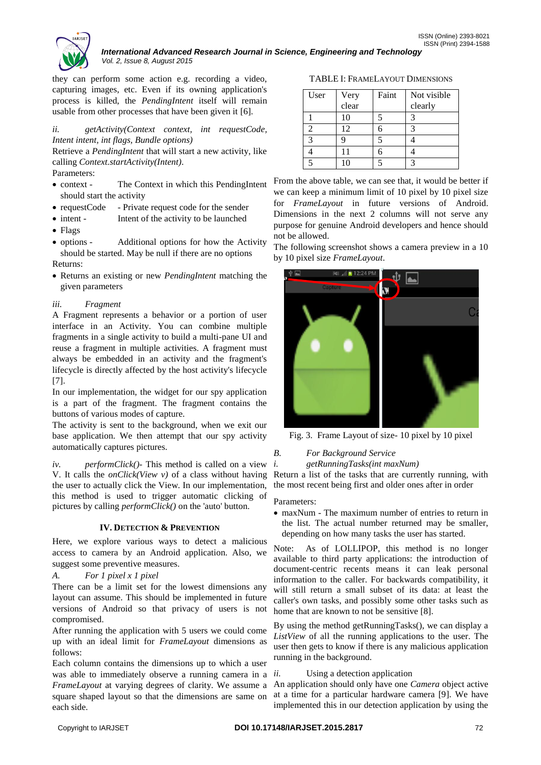

*International Advanced Research Journal in Science, Engineering and Technology Vol. 2, Issue 8, August 2015*

they can perform some action e.g. recording a video, capturing images, etc. Even if its owning application's process is killed, the *PendingIntent* itself will remain usable from other processes that have been given it [6].

*ii. getActivity(Context context, int requestCode, Intent intent, int flags, Bundle options)*

Retrieve a *PendingIntent* that will start a new activity, like calling *Context.startActivity(Intent)*.

Parameters:

- context The Context in which this PendingIntent should start the activity
- requestCode Private request code for the sender
- intent Intent of the activity to be launched
- Flags
- options Additional options for how the Activity should be started. May be null if there are no options Returns:
- Returns an existing or new *PendingIntent* matching the given parameters

# *iii. Fragment*

A Fragment represents a behavior or a portion of user interface in an Activity. You can combine multiple fragments in a single activity to build a multi-pane UI and reuse a fragment in multiple activities. A fragment must always be embedded in an activity and the fragment's lifecycle is directly affected by the host activity's lifecycle [7].

In our implementation, the widget for our spy application is a part of the fragment. The fragment contains the buttons of various modes of capture.

The activity is sent to the background, when we exit our base application. We then attempt that our spy activity automatically captures pictures.

*iv. performClick()-* This method is called on a view V. It calls the *onClick(View v)* of a class without having the user to actually click the View. In our implementation, this method is used to trigger automatic clicking of pictures by calling *performClick()* on the 'auto' button.

# **IV. DETECTION & PREVENTION**

Here, we explore various ways to detect a malicious access to camera by an Android application. Also, we suggest some preventive measures.

# *A. For 1 pixel x 1 pixel*

There can be a limit set for the lowest dimensions any layout can assume. This should be implemented in future versions of Android so that privacy of users is not compromised.

After running the application with 5 users we could come up with an ideal limit for *FrameLayout* dimensions as follows:

Each column contains the dimensions up to which a user was able to immediately observe a running camera in a *ii*. *FrameLayout* at varying degrees of clarity. We assume a square shaped layout so that the dimensions are same on each side.

TABLE I: FRAMELAYOUT DIMENSIONS

| User | Very<br>clear | Faint | Not visible |
|------|---------------|-------|-------------|
|      |               |       | clearly     |
|      | 10            |       |             |
|      | 12            |       | 2           |
|      |               |       |             |
|      | 11            |       |             |
|      |               |       |             |

From the above table, we can see that, it would be better if we can keep a minimum limit of 10 pixel by 10 pixel size for *FrameLayout* in future versions of Android. Dimensions in the next 2 columns will not serve any purpose for genuine Android developers and hence should not be allowed.

The following screenshot shows a camera preview in a 10 by 10 pixel size *FrameLayout*.



Fig. 3. Frame Layout of size- 10 pixel by 10 pixel

*B. For Background Service*

*i. getRunningTasks(int maxNum)*

Return a list of the tasks that are currently running, with the most recent being first and older ones after in order

# Parameters:

 maxNum - The maximum number of entries to return in the list. The actual number returned may be smaller, depending on how many tasks the user has started.

Note: As of LOLLIPOP, this method is no longer available to third party applications: the introduction of document-centric recents means it can leak personal information to the caller. For backwards compatibility, it will still return a small subset of its data: at least the caller's own tasks, and possibly some other tasks such as home that are known to not be sensitive [8].

By using the method getRunningTasks(), we can display a *ListView* of all the running applications to the user. The user then gets to know if there is any malicious application running in the background.

# Using a detection application

An application should only have one *Camera* object active at a time for a particular hardware camera [9]. We have implemented this in our detection application by using the